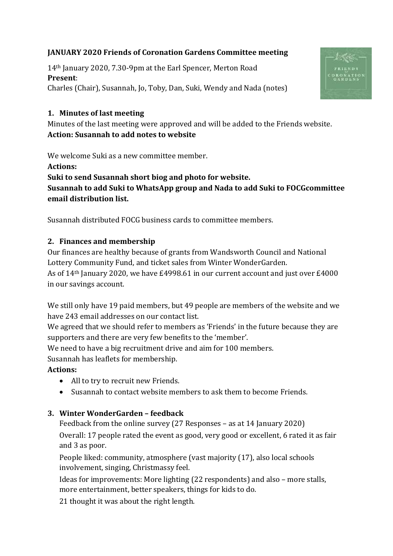# **JANUARY 2020 Friends of Coronation Gardens Committee meeting**

14th January 2020, 7.30-9pm at the Earl Spencer, Merton Road **Present**: Charles (Chair), Susannah, Jo, Toby, Dan, Suki, Wendy and Nada (notes)



#### **1. Minutes of last meeting**

Minutes of the last meeting were approved and will be added to the Friends website. **Action: Susannah to add notes to website**

We welcome Suki as a new committee member. **Actions: Suki to send Susannah short biog and photo for website. Susannah to add Suki to WhatsApp group and Nada to add Suki to FOCGcommittee email distribution list.**

Susannah distributed FOCG business cards to committee members.

#### **2. Finances and membership**

Our finances are healthy because of grants from Wandsworth Council and National Lottery Community Fund, and ticket sales from Winter WonderGarden. As of 14th January 2020, we have £4998.61 in our current account and just over £4000 in our savings account.

We still only have 19 paid members, but 49 people are members of the website and we have 243 email addresses on our contact list.

We agreed that we should refer to members as 'Friends' in the future because they are supporters and there are very few benefits to the 'member'.

We need to have a big recruitment drive and aim for 100 members.

Susannah has leaflets for membership.

### **Actions:**

- All to try to recruit new Friends.
- Susannah to contact website members to ask them to become Friends.

### **3. Winter WonderGarden – feedback**

Feedback from the online survey (27 Responses – as at 14 January 2020)

Overall: 17 people rated the event as good, very good or excellent, 6 rated it as fair and 3 as poor.

People liked: community, atmosphere (vast majority (17), also local schools involvement, singing, Christmassy feel.

Ideas for improvements: More lighting (22 respondents) and also – more stalls, more entertainment, better speakers, things for kids to do.

21 thought it was about the right length.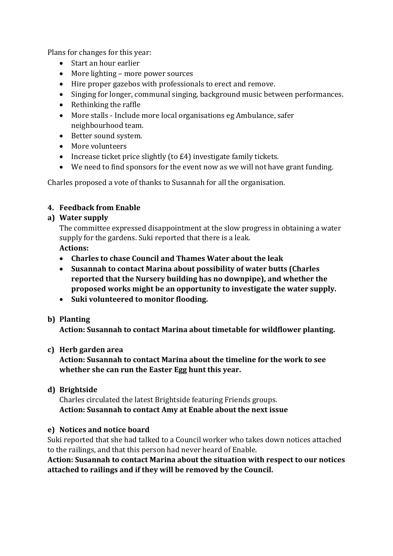Plans for changes for this year:

- Start an hour earlier
- More lighting more power sources
- Hire proper gazebos with professionals to erect and remove.
- Singing for longer, communal singing, background music between performances.
- Rethinking the raffle
- More stalls Include more local organisations eg Ambulance, safer neighbourhood team.
- Better sound system.
- More volunteers
- Increase ticket price slightly (to £4) investigate family tickets.
- We need to find sponsors for the event now as we will not have grant funding.

Charles proposed a vote of thanks to Susannah for all the organisation.

## **4. Feedback from Enable**

## **a) Water supply**

The committee expressed disappointment at the slow progress in obtaining a water supply for the gardens. Suki reported that there is a leak. **Actions:**

- **Charles to chase Council and Thames Water about the leak**
- **Susannah to contact Marina about possibility of water butts (Charles reported that the Nursery building has no downpipe), and whether the proposed works might be an opportunity to investigate the water supply.**
- **Suki volunteered to monitor flooding.**

### **b) Planting**

**Action: Susannah to contact Marina about timetable for wildflower planting.**

### **c) Herb garden area**

**Action: Susannah to contact Marina about the timeline for the work to see whether she can run the Easter Egg hunt this year.**

### **d) Brightside**

Charles circulated the latest Brightside featuring Friends groups. **Action: Susannah to contact Amy at Enable about the next issue**

### **e) Notices and notice board**

Suki reported that she had talked to a Council worker who takes down notices attached to the railings, and that this person had never heard of Enable.

**Action: Susannah to contact Marina about the situation with respect to our notices attached to railings and if they will be removed by the Council.**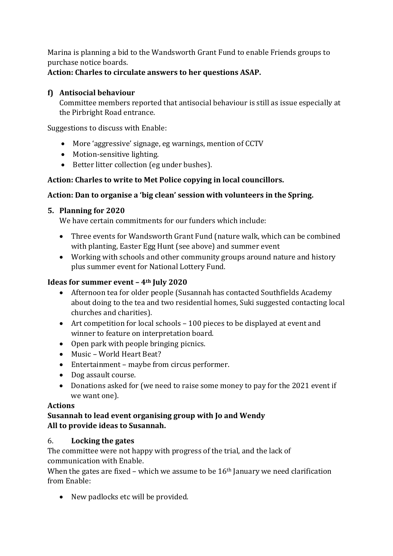Marina is planning a bid to the Wandsworth Grant Fund to enable Friends groups to purchase notice boards.

## **Action: Charles to circulate answers to her questions ASAP.**

# **f) Antisocial behaviour**

Committee members reported that antisocial behaviour is still as issue especially at the Pirbright Road entrance.

Suggestions to discuss with Enable:

- More 'aggressive' signage, eg warnings, mention of CCTV
- Motion-sensitive lighting.
- Better litter collection (eg under bushes).

## **Action: Charles to write to Met Police copying in local councillors.**

## **Action: Dan to organise a 'big clean' session with volunteers in the Spring.**

### **5. Planning for 2020**

We have certain commitments for our funders which include:

- Three events for Wandsworth Grant Fund (nature walk, which can be combined with planting, Easter Egg Hunt (see above) and summer event
- Working with schools and other community groups around nature and history plus summer event for National Lottery Fund.

### **Ideas for summer event – 4th July 2020**

- Afternoon tea for older people (Susannah has contacted Southfields Academy about doing to the tea and two residential homes, Suki suggested contacting local churches and charities).
- Art competition for local schools 100 pieces to be displayed at event and winner to feature on interpretation board.
- Open park with people bringing picnics.
- Music World Heart Beat?
- Entertainment maybe from circus performer.
- Dog assault course.
- Donations asked for (we need to raise some money to pay for the 2021 event if we want one).

### **Actions**

### **Susannah to lead event organising group with Jo and Wendy All to provide ideas to Susannah.**

# 6. **Locking the gates**

The committee were not happy with progress of the trial, and the lack of communication with Enable.

When the gates are fixed – which we assume to be  $16<sup>th</sup>$  January we need clarification from Enable:

• New padlocks etc will be provided.